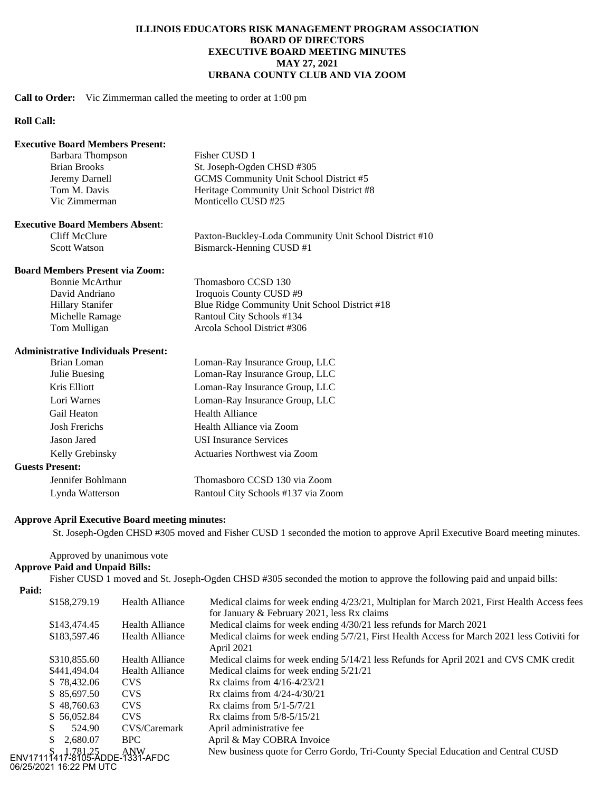# **ILLINOIS EDUCATORS RISK MANAGEMENT PROGRAM ASSOCIATION BOARD OF DIRECTORS EXECUTIVE BOARD MEETING MINUTES MAY 27, 2021 URBANA COUNTY CLUB AND VIA ZOOM**

### **Call to Order:** Vic Zimmerman called the meeting to order at 1:00 pm

# **Roll Call:**

### **Executive Board Members Present:**

| Barbara Thompson    | Fisher CUSD 1                              |
|---------------------|--------------------------------------------|
| <b>Brian Brooks</b> | St. Joseph-Ogden CHSD #305                 |
| Jeremy Darnell      | GCMS Community Unit School District #5     |
| Tom M. Davis        | Heritage Community Unit School District #8 |
| Vic Zimmerman       | Monticello CUSD #25                        |
|                     |                                            |

#### **Executive Board Members Absent**:

Cliff McClure Paxton-Buckley-Loda Community Unit School District #10<br>Scott Watson Bismarck-Henning CUSD #1 Bismarck-Henning CUSD #1

# **Board Members Present via Zoom:**

| <b>Bonnie McArthur</b>  | Thomasboro CCSD 130                           |
|-------------------------|-----------------------------------------------|
| David Andriano          | Iroquois County CUSD #9                       |
| <b>Hillary Stanifer</b> | Blue Ridge Community Unit School District #18 |
| Michelle Ramage         | Rantoul City Schools #134                     |
| Tom Mulligan            | Arcola School District #306                   |

### **Administrative Individuals Present:**

| Loman-Ray Insurance Group, LLC     |
|------------------------------------|
| Loman-Ray Insurance Group, LLC     |
| Loman-Ray Insurance Group, LLC     |
| Loman-Ray Insurance Group, LLC     |
| <b>Health Alliance</b>             |
| Health Alliance via Zoom           |
| <b>USI</b> Insurance Services      |
| Actuaries Northwest via Zoom       |
|                                    |
| Thomasboro CCSD 130 via Zoom       |
| Rantoul City Schools #137 via Zoom |
|                                    |

# **Approve April Executive Board meeting minutes:**

St. Joseph-Ogden CHSD #305 moved and Fisher CUSD 1 seconded the motion to approve April Executive Board meeting minutes.

# Approved by unanimous vote

# **Approve Paid and Unpaid Bills:**

Fisher CUSD 1 moved and St. Joseph-Ogden CHSD #305 seconded the motion to approve the following paid and unpaid bills: **Paid:**

| \$158,279.19                                               | <b>Health Alliance</b> | Medical claims for week ending 4/23/21, Multiplan for March 2021, First Health Access fees<br>for January & February 2021, less Rx claims |
|------------------------------------------------------------|------------------------|-------------------------------------------------------------------------------------------------------------------------------------------|
| \$143,474.45                                               | <b>Health Alliance</b> | Medical claims for week ending 4/30/21 less refunds for March 2021                                                                        |
| \$183,597.46                                               | <b>Health Alliance</b> | Medical claims for week ending 5/7/21, First Health Access for March 2021 less Cotiviti for<br>April 2021                                 |
| \$310,855.60                                               | <b>Health Alliance</b> | Medical claims for week ending 5/14/21 less Refunds for April 2021 and CVS CMK credit                                                     |
| \$441,494.04                                               | <b>Health Alliance</b> | Medical claims for week ending 5/21/21                                                                                                    |
| \$78,432.06                                                | <b>CVS</b>             | Rx claims from $4/16 - 4/23/21$                                                                                                           |
| \$85,697.50                                                | CVS                    | Rx claims from $4/24 - 4/30/21$                                                                                                           |
| \$48,760.63                                                | <b>CVS</b>             | Rx claims from $5/1 - 5/7/21$                                                                                                             |
| \$56,052.84                                                | <b>CVS</b>             | Rx claims from $5/8 - 5/15/21$                                                                                                            |
| 524.90<br>S.                                               | CVS/Caremark           | April administrative fee                                                                                                                  |
| 2.680.07<br>\$                                             | BPC.                   | April & May COBRA Invoice                                                                                                                 |
| ENV17111417-8105-ADDE-1331-AFDC<br>06/25/2021 16:22 PM UTC |                        | New business quote for Cerro Gordo, Tri-County Special Education and Central CUSD                                                         |